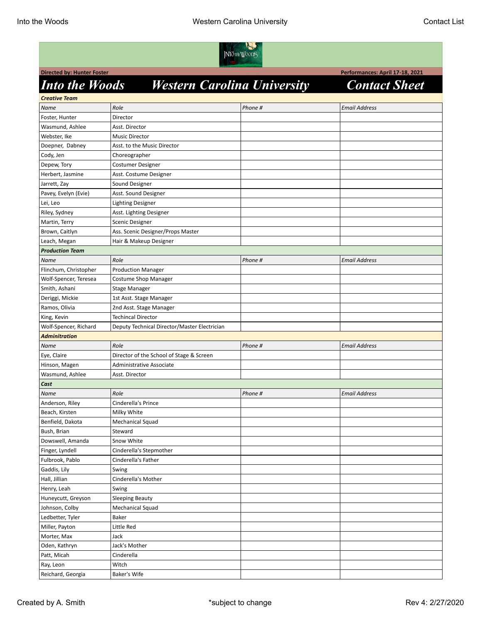

**Directed by: Hunter Foster Performances: April 17-18, 2021** 

## *Into the Woods Western Carolina University Contact Sheet*

| <b>Creative Team</b>   |                                              |         |                      |  |
|------------------------|----------------------------------------------|---------|----------------------|--|
| Name                   | Role                                         | Phone # | <b>Email Address</b> |  |
| Foster, Hunter         | Director                                     |         |                      |  |
| Wasmund, Ashlee        | Asst. Director                               |         |                      |  |
| Webster, Ike           | <b>Music Director</b>                        |         |                      |  |
| Doepner, Dabney        | Asst. to the Music Director                  |         |                      |  |
| Cody, Jen              | Choreographer                                |         |                      |  |
| Depew, Tory            | Costumer Designer                            |         |                      |  |
| Herbert, Jasmine       | Asst. Costume Designer                       |         |                      |  |
| Jarrett, Zay           | Sound Designer                               |         |                      |  |
| Pavey, Evelyn (Evie)   | Asst. Sound Designer                         |         |                      |  |
| Lei, Leo               | <b>Lighting Designer</b>                     |         |                      |  |
| Riley, Sydney          | Asst. Lighting Designer                      |         |                      |  |
| Martin, Terry          | <b>Scenic Designer</b>                       |         |                      |  |
| Brown, Caitlyn         | Ass. Scenic Designer/Props Master            |         |                      |  |
| Leach, Megan           | Hair & Makeup Designer                       |         |                      |  |
| <b>Production Team</b> |                                              |         |                      |  |
| <b>Name</b>            | Role                                         | Phone # | <b>Email Address</b> |  |
| Flinchum, Christopher  | <b>Production Manager</b>                    |         |                      |  |
| Wolf-Spencer, Teresea  | <b>Costume Shop Manager</b>                  |         |                      |  |
| Smith, Ashani          | Stage Manager                                |         |                      |  |
| Deriggi, Mickie        | 1st Asst. Stage Manager                      |         |                      |  |
| Ramos, Olivia          | 2nd Asst. Stage Manager                      |         |                      |  |
| King, Kevin            | <b>Techincal Director</b>                    |         |                      |  |
| Wolf-Spencer, Richard  | Deputy Technical Director/Master Electrician |         |                      |  |
| <b>Adminitration</b>   |                                              |         |                      |  |
| Name                   | Role                                         | Phone # | <b>Email Address</b> |  |
| Eye, Claire            | Director of the School of Stage & Screen     |         |                      |  |
| Hinson, Magen          | Administrative Associate                     |         |                      |  |
| Wasmund, Ashlee        | Asst. Director                               |         |                      |  |
| Cast                   |                                              |         |                      |  |
| Name                   | Role                                         | Phone # | <b>Email Address</b> |  |
| Anderson, Riley        | Cinderella's Prince                          |         |                      |  |
| Beach, Kirsten         | Milky White                                  |         |                      |  |
| Benfield, Dakota       | <b>Mechanical Squad</b>                      |         |                      |  |
| Bush, Brian            | Steward                                      |         |                      |  |
| Dowswell, Amanda       | Snow White                                   |         |                      |  |
| Finger, Lyndell        | Cinderella's Stepmother                      |         |                      |  |
| Fulbrook, Pablo        | Cinderella's Father                          |         |                      |  |
| Gaddis, Lily           | Swing                                        |         |                      |  |
| Hall, Jillian          | Cinderella's Mother                          |         |                      |  |
| Henry, Leah            | Swing                                        |         |                      |  |
| Huneycutt, Greyson     | <b>Sleeping Beauty</b>                       |         |                      |  |
| Johnson, Colby         | Mechanical Squad                             |         |                      |  |
| Ledbetter, Tyler       | Baker                                        |         |                      |  |
| Miller, Payton         | Little Red                                   |         |                      |  |
| Morter, Max            | Jack                                         |         |                      |  |
| Oden, Kathryn          | Jack's Mother                                |         |                      |  |
| Patt, Micah            | Cinderella                                   |         |                      |  |
| Ray, Leon              | Witch                                        |         |                      |  |
| Reichard, Georgia      | Baker's Wife                                 |         |                      |  |
|                        |                                              |         |                      |  |